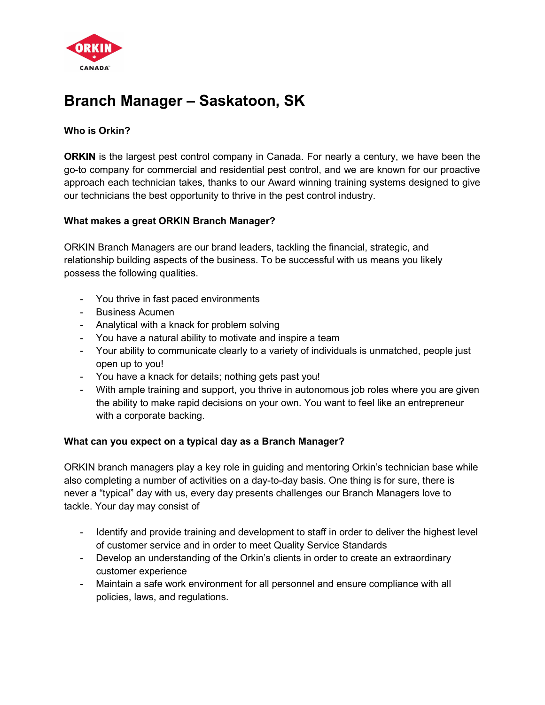

# Branch Manager – Saskatoon, SK

## Who is Orkin?

**ORKIN** is the largest pest control company in Canada. For nearly a century, we have been the go-to company for commercial and residential pest control, and we are known for our proactive approach each technician takes, thanks to our Award winning training systems designed to give our technicians the best opportunity to thrive in the pest control industry.

## What makes a great ORKIN Branch Manager?

ORKIN Branch Managers are our brand leaders, tackling the financial, strategic, and relationship building aspects of the business. To be successful with us means you likely possess the following qualities.

- You thrive in fast paced environments
- Business Acumen
- Analytical with a knack for problem solving
- You have a natural ability to motivate and inspire a team
- Your ability to communicate clearly to a variety of individuals is unmatched, people just open up to you!
- You have a knack for details; nothing gets past you!
- With ample training and support, you thrive in autonomous job roles where you are given the ability to make rapid decisions on your own. You want to feel like an entrepreneur with a corporate backing.

#### What can you expect on a typical day as a Branch Manager?

ORKIN branch managers play a key role in guiding and mentoring Orkin's technician base while also completing a number of activities on a day-to-day basis. One thing is for sure, there is never a "typical" day with us, every day presents challenges our Branch Managers love to tackle. Your day may consist of

- Identify and provide training and development to staff in order to deliver the highest level of customer service and in order to meet Quality Service Standards
- Develop an understanding of the Orkin's clients in order to create an extraordinary customer experience
- Maintain a safe work environment for all personnel and ensure compliance with all policies, laws, and regulations.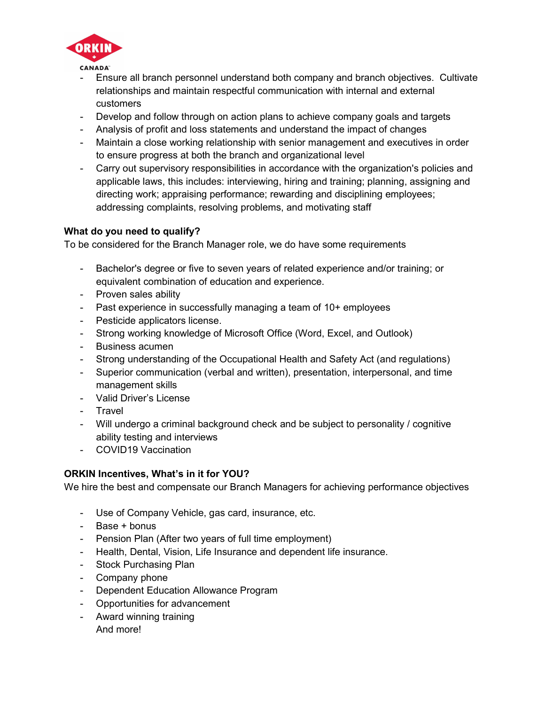

- Ensure all branch personnel understand both company and branch objectives. Cultivate relationships and maintain respectful communication with internal and external customers
- Develop and follow through on action plans to achieve company goals and targets
- Analysis of profit and loss statements and understand the impact of changes
- Maintain a close working relationship with senior management and executives in order to ensure progress at both the branch and organizational level
- Carry out supervisory responsibilities in accordance with the organization's policies and applicable laws, this includes: interviewing, hiring and training; planning, assigning and directing work; appraising performance; rewarding and disciplining employees; addressing complaints, resolving problems, and motivating staff

## What do you need to qualify?

To be considered for the Branch Manager role, we do have some requirements

- Bachelor's degree or five to seven years of related experience and/or training; or equivalent combination of education and experience.
- Proven sales ability
- Past experience in successfully managing a team of 10+ employees
- Pesticide applicators license.
- Strong working knowledge of Microsoft Office (Word, Excel, and Outlook)
- Business acumen
- Strong understanding of the Occupational Health and Safety Act (and regulations)
- Superior communication (verbal and written), presentation, interpersonal, and time management skills
- Valid Driver's License
- Travel
- Will undergo a criminal background check and be subject to personality / cognitive ability testing and interviews
- COVID19 Vaccination

## ORKIN Incentives, What's in it for YOU?

We hire the best and compensate our Branch Managers for achieving performance objectives

- Use of Company Vehicle, gas card, insurance, etc.
- Base + bonus
- Pension Plan (After two years of full time employment)
- Health, Dental, Vision, Life Insurance and dependent life insurance.
- Stock Purchasing Plan
- Company phone
- Dependent Education Allowance Program
- Opportunities for advancement
- Award winning training And more!